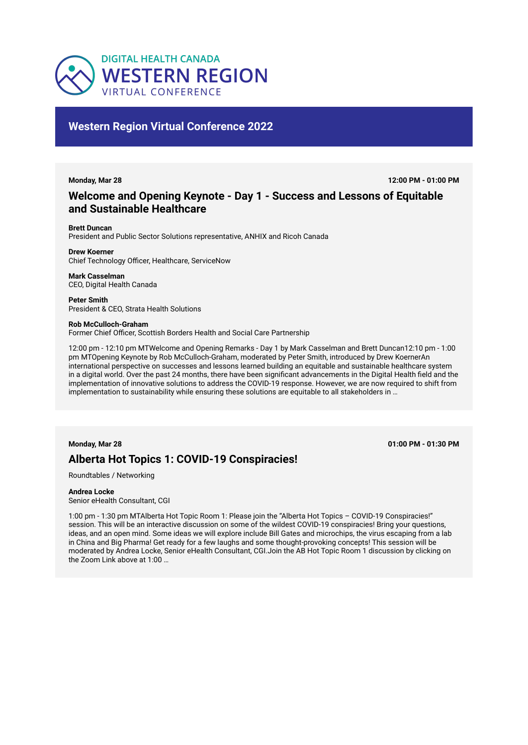

# **Western Region Virtual Conference 2022**

**Monday, Mar 28 12:00 PM - 01:00 PM**

# **Welcome and Opening Keynote - Day 1 - Success and Lessons of Equitable and Sustainable Healthcare**

**Brett Duncan** 

President and Public Sector Solutions representative, ANHIX and Ricoh Canada

**Drew Koerner** 

Chief Technology Officer, Healthcare, ServiceNow

**Mark Casselman**  CEO, Digital Health Canada

**Peter Smith**  President & CEO, Strata Health Solutions

## **Rob McCulloch-Graham**

Former Chief Officer, Scottish Borders Health and Social Care Partnership

12:00 pm - 12:10 pm MTWelcome and Opening Remarks - Day 1 by Mark Casselman and Brett Duncan12:10 pm - 1:00 pm MTOpening Keynote by Rob McCulloch-Graham, moderated by Peter Smith, introduced by Drew KoernerAn international perspective on successes and lessons learned building an equitable and sustainable healthcare system in a digital world. Over the past 24 months, there have been significant advancements in the Digital Health field and the implementation of innovative solutions to address the COVID-19 response. However, we are now required to shift from implementation to sustainability while ensuring these solutions are equitable to all stakeholders in …

**Monday, Mar 28 01:00 PM - 01:30 PM**

# **Alberta Hot Topics 1: COVID-19 Conspiracies!**

Roundtables / Networking

# **Andrea Locke**

Senior eHealth Consultant, CGI

1:00 pm - 1:30 pm MTAlberta Hot Topic Room 1: Please join the "Alberta Hot Topics – COVID-19 Conspiracies!" session. This will be an interactive discussion on some of the wildest COVID-19 conspiracies! Bring your questions, ideas, and an open mind. Some ideas we will explore include Bill Gates and microchips, the virus escaping from a lab in China and Big Pharma! Get ready for a few laughs and some thought-provoking concepts! This session will be moderated by Andrea Locke, Senior eHealth Consultant, CGI.Join the AB Hot Topic Room 1 discussion by clicking on the Zoom Link above at 1:00 …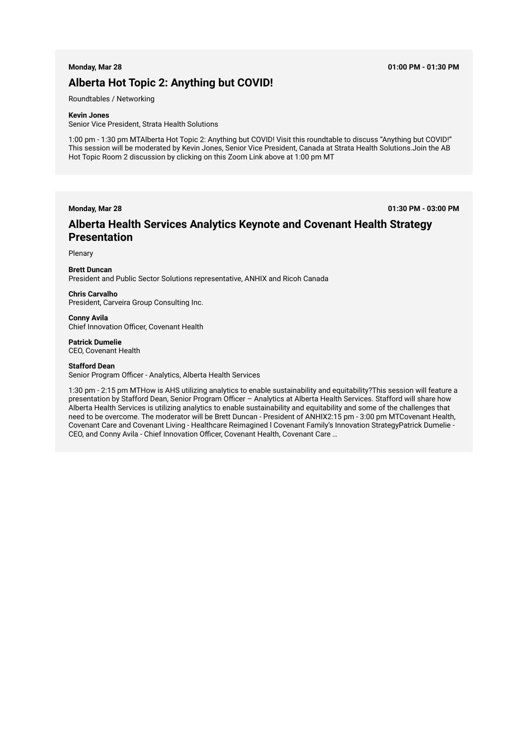# **Alberta Hot Topic 2: Anything but COVID!**

Roundtables / Networking

### **Kevin Jones**

Senior Vice President, Strata Health Solutions

1:00 pm - 1:30 pm MTAlberta Hot Topic 2: Anything but COVID! Visit this roundtable to discuss "Anything but COVID!" This session will be moderated by Kevin Jones, Senior Vice President, Canada at Strata Health Solutions.Join the AB Hot Topic Room 2 discussion by clicking on this Zoom Link above at 1:00 pm MT

**Monday, Mar 28 01:30 PM - 03:00 PM**

# **Alberta Health Services Analytics Keynote and Covenant Health Strategy Presentation**

Plenary

**Brett Duncan**  President and Public Sector Solutions representative, ANHIX and Ricoh Canada

# **Chris Carvalho**

President, Carveira Group Consulting Inc.

**Conny Avila**  Chief Innovation Officer, Covenant Health

**Patrick Dumelie**  CEO, Covenant Health

## **Stafford Dean**

Senior Program Officer - Analytics, Alberta Health Services

1:30 pm - 2:15 pm MTHow is AHS utilizing analytics to enable sustainability and equitability?This session will feature a presentation by Stafford Dean, Senior Program Officer – Analytics at Alberta Health Services. Stafford will share how Alberta Health Services is utilizing analytics to enable sustainability and equitability and some of the challenges that need to be overcome. The moderator will be Brett Duncan - President of ANHIX2:15 pm - 3:00 pm MTCovenant Health, Covenant Care and Covenant Living - Healthcare Reimagined l Covenant Family's Innovation StrategyPatrick Dumelie - CEO, and Conny Avila - Chief Innovation Officer, Covenant Health, Covenant Care …

## **Monday, Mar 28 01:00 PM - 01:30 PM**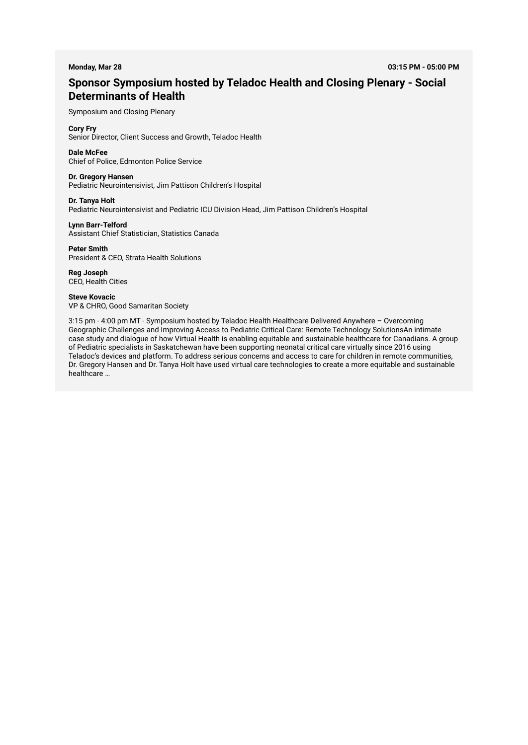# **Sponsor Symposium hosted by Teladoc Health and Closing Plenary - Social Determinants of Health**

Symposium and Closing Plenary

# **Cory Fry**

Senior Director, Client Success and Growth, Teladoc Health

## **Dale McFee**  Chief of Police, Edmonton Police Service

# **Dr. Gregory Hansen**

Pediatric Neurointensivist, Jim Pattison Children's Hospital

**Dr. Tanya Holt** 

Pediatric Neurointensivist and Pediatric ICU Division Head, Jim Pattison Children's Hospital

**Lynn Barr-Telford**  Assistant Chief Statistician, Statistics Canada

**Peter Smith**  President & CEO, Strata Health Solutions

**Reg Joseph**  CEO, Health Cities

**Steve Kovacic**  VP & CHRO, Good Samaritan Society

3:15 pm - 4:00 pm MT - Symposium hosted by Teladoc Health Healthcare Delivered Anywhere – Overcoming Geographic Challenges and Improving Access to Pediatric Critical Care: Remote Technology SolutionsAn intimate case study and dialogue of how Virtual Health is enabling equitable and sustainable healthcare for Canadians. A group of Pediatric specialists in Saskatchewan have been supporting neonatal critical care virtually since 2016 using Teladoc's devices and platform. To address serious concerns and access to care for children in remote communities, Dr. Gregory Hansen and Dr. Tanya Holt have used virtual care technologies to create a more equitable and sustainable healthcare …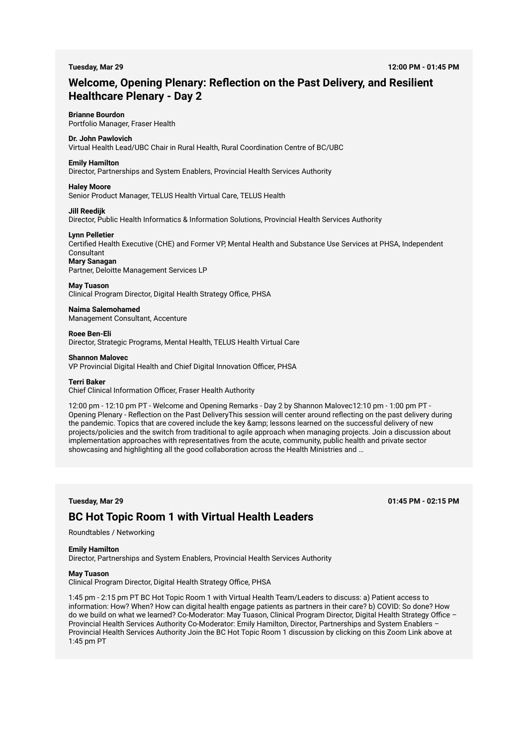# **Welcome, Opening Plenary: Reflection on the Past Delivery, and Resilient Healthcare Plenary - Day 2**

# **Brianne Bourdon**

Portfolio Manager, Fraser Health

# **Dr. John Pawlovich**

Virtual Health Lead/UBC Chair in Rural Health, Rural Coordination Centre of BC/UBC

# **Emily Hamilton**

Director, Partnerships and System Enablers, Provincial Health Services Authority

## **Haley Moore**

Senior Product Manager, TELUS Health Virtual Care, TELUS Health

#### **Jill Reedijk**

Director, Public Health Informatics & Information Solutions, Provincial Health Services Authority

### **Lynn Pelletier**

Certified Health Executive (CHE) and Former VP, Mental Health and Substance Use Services at PHSA, Independent Consultant

## **Mary Sanagan**

Partner, Deloitte Management Services LP

## **May Tuason**

Clinical Program Director, Digital Health Strategy Office, PHSA

### **Naima Salemohamed**  Management Consultant, Accenture

**Roee Ben-Eli**  Director, Strategic Programs, Mental Health, TELUS Health Virtual Care

### **Shannon Malovec**

VP Provincial Digital Health and Chief Digital Innovation Officer, PHSA

#### **Terri Baker**

Chief Clinical Information Officer, Fraser Health Authority

12:00 pm - 12:10 pm PT - Welcome and Opening Remarks - Day 2 by Shannon Malovec12:10 pm - 1:00 pm PT - Opening Plenary - Reflection on the Past DeliveryThis session will center around reflecting on the past delivery during the pandemic. Topics that are covered include the key & amp; lessons learned on the successful delivery of new projects/policies and the switch from traditional to agile approach when managing projects. Join a discussion about implementation approaches with representatives from the acute, community, public health and private sector showcasing and highlighting all the good collaboration across the Health Ministries and …

# **Tuesday, Mar 29 01:45 PM - 02:15 PM**

# **BC Hot Topic Room 1 with Virtual Health Leaders**

Roundtables / Networking

## **Emily Hamilton**

Director, Partnerships and System Enablers, Provincial Health Services Authority

## **May Tuason**

Clinical Program Director, Digital Health Strategy Office, PHSA

1:45 pm - 2:15 pm PT BC Hot Topic Room 1 with Virtual Health Team/Leaders to discuss: a) Patient access to information: How? When? How can digital health engage patients as partners in their care? b) COVID: So done? How do we build on what we learned? Co-Moderator: May Tuason, Clinical Program Director, Digital Health Strategy Office – Provincial Health Services Authority Co-Moderator: Emily Hamilton, Director, Partnerships and System Enablers – Provincial Health Services Authority Join the BC Hot Topic Room 1 discussion by clicking on this Zoom Link above at 1:45 pm PT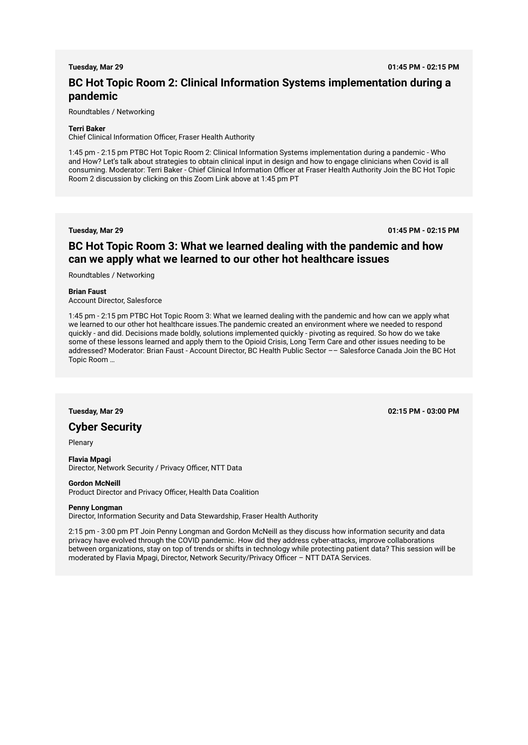**Tuesday, Mar 29 01:45 PM - 02:15 PM**

# **BC Hot Topic Room 2: Clinical Information Systems implementation during a pandemic**

Roundtables / Networking

# **Terri Baker**

Chief Clinical Information Officer, Fraser Health Authority

1:45 pm - 2:15 pm PTBC Hot Topic Room 2: Clinical Information Systems implementation during a pandemic - Who and How? Let's talk about strategies to obtain clinical input in design and how to engage clinicians when Covid is all consuming. Moderator: Terri Baker - Chief Clinical Information Officer at Fraser Health Authority Join the BC Hot Topic Room 2 discussion by clicking on this Zoom Link above at 1:45 pm PT

**Tuesday, Mar 29 01:45 PM - 02:15 PM**

# **BC Hot Topic Room 3: What we learned dealing with the pandemic and how can we apply what we learned to our other hot healthcare issues**

Roundtables / Networking

**Brian Faust** 

Account Director, Salesforce

1:45 pm - 2:15 pm PTBC Hot Topic Room 3: What we learned dealing with the pandemic and how can we apply what we learned to our other hot healthcare issues.The pandemic created an environment where we needed to respond quickly - and did. Decisions made boldly, solutions implemented quickly - pivoting as required. So how do we take some of these lessons learned and apply them to the Opioid Crisis, Long Term Care and other issues needing to be addressed? Moderator: Brian Faust - Account Director, BC Health Public Sector –– Salesforce Canada Join the BC Hot Topic Room …

# **Cyber Security**

Plenary

**Flavia Mpagi**  Director, Network Security / Privacy Officer, NTT Data

### **Gordon McNeill**

Product Director and Privacy Officer, Health Data Coalition

## **Penny Longman**

Director, Information Security and Data Stewardship, Fraser Health Authority

2:15 pm - 3:00 pm PT Join Penny Longman and Gordon McNeill as they discuss how information security and data privacy have evolved through the COVID pandemic. How did they address cyber-attacks, improve collaborations between organizations, stay on top of trends or shifts in technology while protecting patient data? This session will be moderated by Flavia Mpagi, Director, Network Security/Privacy Officer – NTT DATA Services.

**Tuesday, Mar 29 02:15 PM - 03:00 PM**